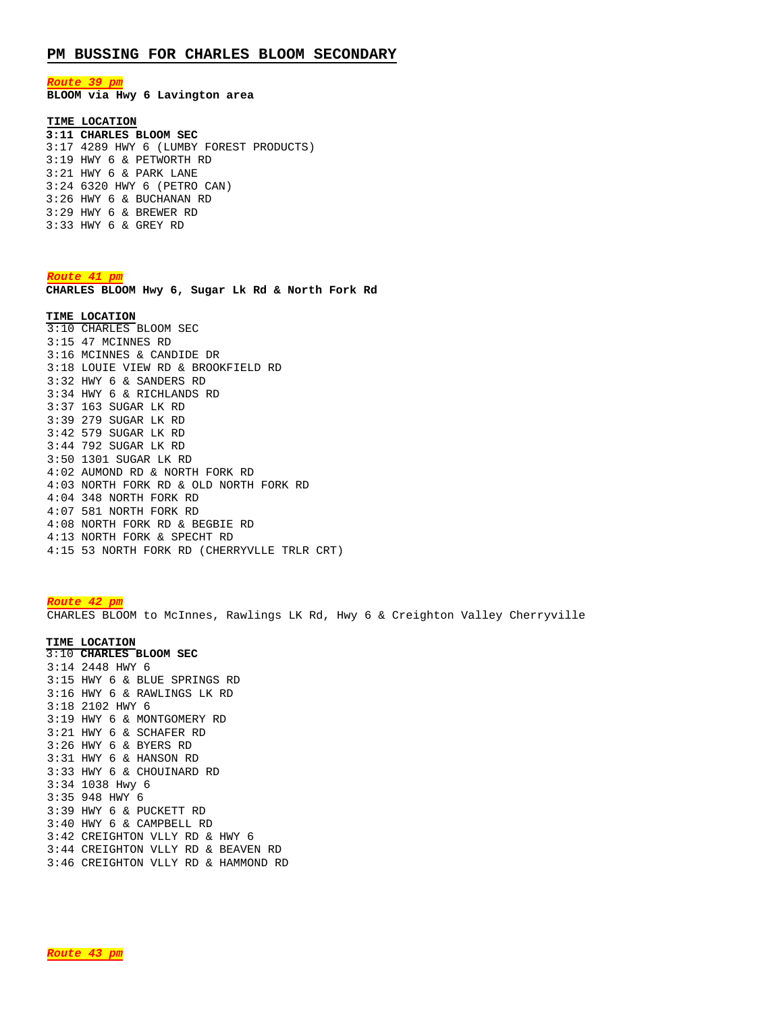## **PM BUSSING FOR CHARLES BLOOM SECONDARY**

*Route 39 pm*

**BLOOM via Hwy 6 Lavington area** 

# **TIME LOCATION**

**3:11 CHARLES BLOOM SEC** 3:17 4289 HWY 6 (LUMBY FOREST PRODUCTS) 3:19 HWY 6 & PETWORTH RD 3:21 HWY 6 & PARK LANE 3:24 6320 HWY 6 (PETRO CAN) 3:26 HWY 6 & BUCHANAN RD 3:29 HWY 6 & BREWER RD 3:33 HWY 6 & GREY RD

#### *Route 41 pm*

**CHARLES BLOOM Hwy 6, Sugar Lk Rd & North Fork Rd** 

### **TIME LOCATION**

3:10 CHARLES BLOOM SEC 3:15 47 MCINNES RD 3:16 MCINNES & CANDIDE DR 3:18 LOUIE VIEW RD & BROOKFIELD RD 3:32 HWY 6 & SANDERS RD 3:34 HWY 6 & RICHLANDS RD 3:37 163 SUGAR LK RD 3:39 279 SUGAR LK RD 3:42 579 SUGAR LK RD 3:44 792 SUGAR LK RD 3:50 1301 SUGAR LK RD 4:02 AUMOND RD & NORTH FORK RD 4:03 NORTH FORK RD & OLD NORTH FORK RD 4:04 348 NORTH FORK RD 4:07 581 NORTH FORK RD 4:08 NORTH FORK RD & BEGBIE RD 4:13 NORTH FORK & SPECHT RD 4:15 53 NORTH FORK RD (CHERRYVLLE TRLR CRT)

*Route 42 pm* CHARLES BLOOM to McInnes, Rawlings LK Rd, Hwy 6 & Creighton Valley Cherryville

#### **TIME LOCATION**

3:10 **CHARLES BLOOM SEC** 3:14 2448 HWY 6 3:15 HWY 6 & BLUE SPRINGS RD 3:16 HWY 6 & RAWLINGS LK RD 3:18 2102 HWY 6 3:19 HWY 6 & MONTGOMERY RD 3:21 HWY 6 & SCHAFER RD 3:26 HWY 6 & BYERS RD 3:31 HWY 6 & HANSON RD 3:33 HWY 6 & CHOUINARD RD 3:34 1038 Hwy 6 3:35 948 HWY 6 3:39 HWY 6 & PUCKETT RD 3:40 HWY 6 & CAMPBELL RD 3:42 CREIGHTON VLLY RD & HWY 6 3:44 CREIGHTON VLLY RD & BEAVEN RD 3:46 CREIGHTON VLLY RD & HAMMOND RD

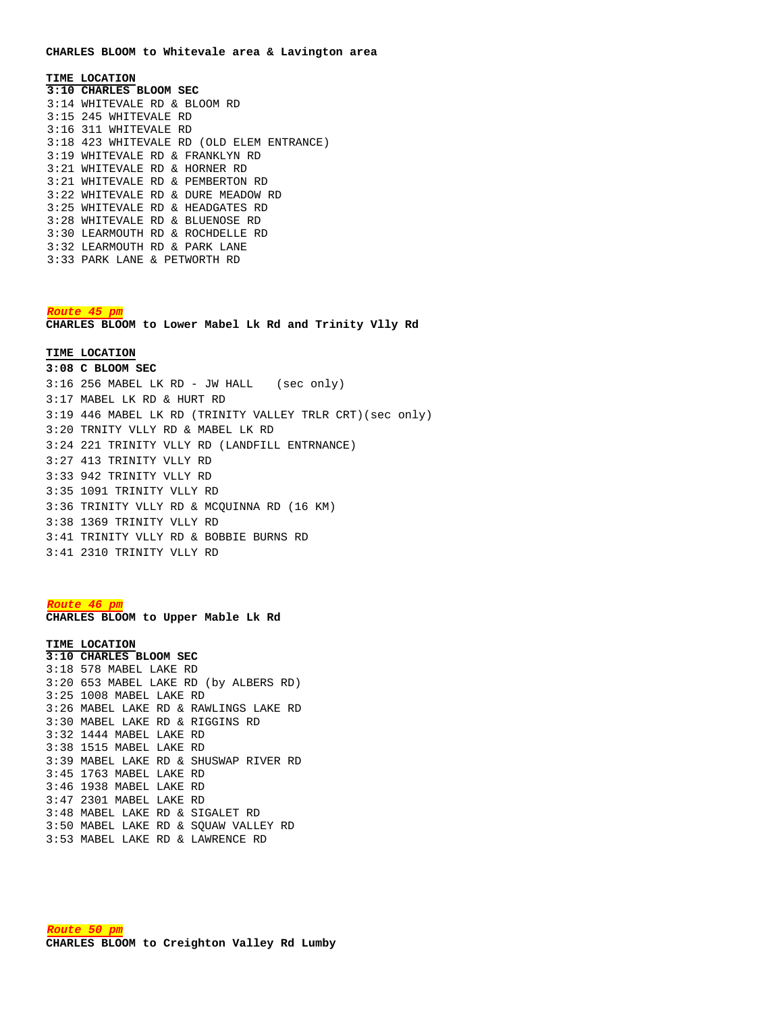#### **CHARLES BLOOM to Whitevale area & Lavington area**

**TIME LOCATION 3:10 CHARLES BLOOM SEC** 3:14 WHITEVALE RD & BLOOM RD 3:15 245 WHITEVALE RD 3:16 311 WHITEVALE RD 3:18 423 WHITEVALE RD (OLD ELEM ENTRANCE) 3:19 WHITEVALE RD & FRANKLYN RD 3:21 WHITEVALE RD & HORNER RD 3:21 WHITEVALE RD & PEMBERTON RD 3:22 WHITEVALE RD & DURE MEADOW RD 3:25 WHITEVALE RD & HEADGATES RD 3:28 WHITEVALE RD & BLUENOSE RD 3:30 LEARMOUTH RD & ROCHDELLE RD 3:32 LEARMOUTH RD & PARK LANE 3:33 PARK LANE & PETWORTH RD

### *Route 45 pm*

**CHARLES BLOOM to Lower Mabel Lk Rd and Trinity Vlly Rd**

## **TIME LOCATION 3:08 C BLOOM SEC**

3:16 256 MABEL LK RD - JW HALL (sec only) 3:17 MABEL LK RD & HURT RD 3:19 446 MABEL LK RD (TRINITY VALLEY TRLR CRT)(sec only) 3:20 TRNITY VLLY RD & MABEL LK RD 3:24 221 TRINITY VLLY RD (LANDFILL ENTRNANCE) 3:27 413 TRINITY VLLY RD 3:33 942 TRINITY VLLY RD 3:35 1091 TRINITY VLLY RD 3:36 TRINITY VLLY RD & MCQUINNA RD (16 KM) 3:38 1369 TRINITY VLLY RD 3:41 TRINITY VLLY RD & BOBBIE BURNS RD 3:41 2310 TRINITY VLLY RD

*Route 46 pm* **CHARLES BLOOM to Upper Mable Lk Rd**

## **TIME LOCATION**

**3:10 CHARLES BLOOM SEC** 3:18 578 MABEL LAKE RD 3:20 653 MABEL LAKE RD (by ALBERS RD) 3:25 1008 MABEL LAKE RD 3:26 MABEL LAKE RD & RAWLINGS LAKE RD 3:30 MABEL LAKE RD & RIGGINS RD 3:32 1444 MABEL LAKE RD 3:38 1515 MABEL LAKE RD 3:39 MABEL LAKE RD & SHUSWAP RIVER RD 3:45 1763 MABEL LAKE RD 3:46 1938 MABEL LAKE RD 3:47 2301 MABEL LAKE RD 3:48 MABEL LAKE RD & SIGALET RD 3:50 MABEL LAKE RD & SQUAW VALLEY RD 3:53 MABEL LAKE RD & LAWRENCE RD